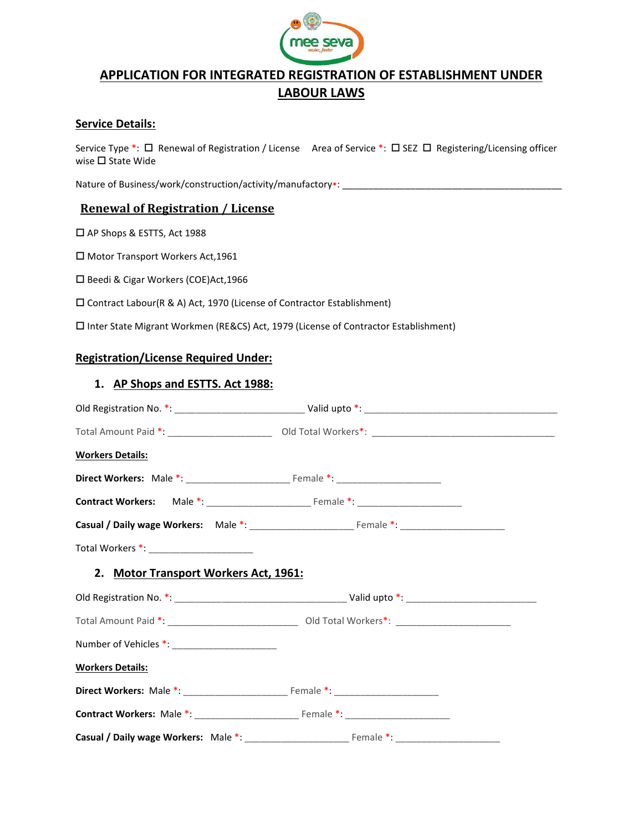

# APPLICATION FOR INTEGRATED REGISTRATION OF ESTABLISHMENT UNDER LABOUR LAWS

# Service Details:

Service Type \*: □ Renewal of Registration / License Area of Service \*: □ SEZ □ Registering/Licensing officer wise  $\square$  State Wide

Nature of Business/work/construction/activity/manufactory\*: \_\_

# Renewal of Registration / License

□ AP Shops & ESTTS, Act 1988

□ Motor Transport Workers Act, 1961

□ Beedi & Cigar Workers (COE)Act, 1966

Contract Labour(R & A) Act, 1970 (License of Contractor Establishment)

Inter State Migrant Workmen (RE&CS) Act, 1979 (License of Contractor Establishment)

#### Registration/License Required Under:

#### 1. AP Shops and ESTTS. Act 1988:

|                                                | Total Amount Paid *: _________________________________ Old Total Workers*: ___________________________________ |  |
|------------------------------------------------|----------------------------------------------------------------------------------------------------------------|--|
| <b>Workers Details:</b>                        |                                                                                                                |  |
|                                                |                                                                                                                |  |
|                                                |                                                                                                                |  |
|                                                |                                                                                                                |  |
|                                                |                                                                                                                |  |
| 2. Motor Transport Workers Act, 1961:          |                                                                                                                |  |
|                                                |                                                                                                                |  |
|                                                | Total Amount Paid *: __________________________________ Old Total Workers*: ________________________           |  |
| Number of Vehicles *: ________________________ |                                                                                                                |  |
| <b>Workers Details:</b>                        |                                                                                                                |  |
|                                                |                                                                                                                |  |
|                                                |                                                                                                                |  |
|                                                |                                                                                                                |  |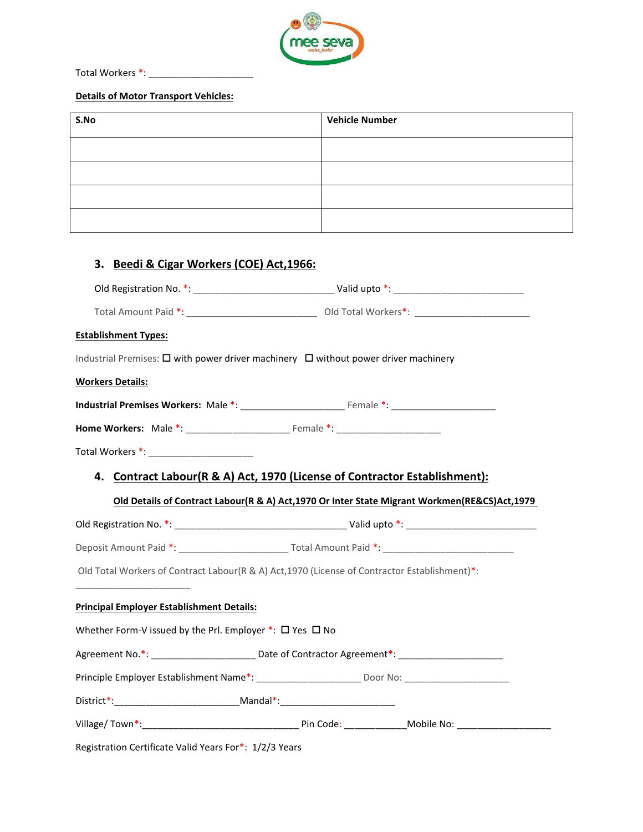

Total Workers \*: \_\_\_\_\_\_\_\_\_\_\_\_\_\_\_\_\_\_\_\_

#### Details of Motor Transport Vehicles:

| S.No | <b>Vehicle Number</b> |
|------|-----------------------|
|      |                       |
|      |                       |
|      |                       |
|      |                       |

# 3. Beedi & Cigar Workers (COE) Act,1966:

| <b>Establishment Types:</b>                                        |                                                                                                |
|--------------------------------------------------------------------|------------------------------------------------------------------------------------------------|
|                                                                    | Industrial Premises: □ with power driver machinery □ without power driver machinery            |
| <b>Workers Details:</b>                                            |                                                                                                |
|                                                                    |                                                                                                |
|                                                                    |                                                                                                |
|                                                                    |                                                                                                |
|                                                                    | 4. Contract Labour(R & A) Act, 1970 (License of Contractor Establishment):                     |
|                                                                    | Old Details of Contract Labour(R & A) Act, 1970 Or Inter State Migrant Workmen(RE&CS)Act, 1979 |
|                                                                    |                                                                                                |
|                                                                    |                                                                                                |
|                                                                    | Old Total Workers of Contract Labour(R & A) Act, 1970 (License of Contractor Establishment)*:  |
| <b>Principal Employer Establishment Details:</b>                   |                                                                                                |
| Whether Form-V issued by the Prl. Employer *: $\Box$ Yes $\Box$ No |                                                                                                |
|                                                                    | Agreement No.*: Manual Date of Contractor Agreement*: Manual Date of Contractor Agreement*:    |
|                                                                    |                                                                                                |
|                                                                    |                                                                                                |
|                                                                    |                                                                                                |
|                                                                    |                                                                                                |

Registration Certificate Valid Years For\*: 1/2/3 Years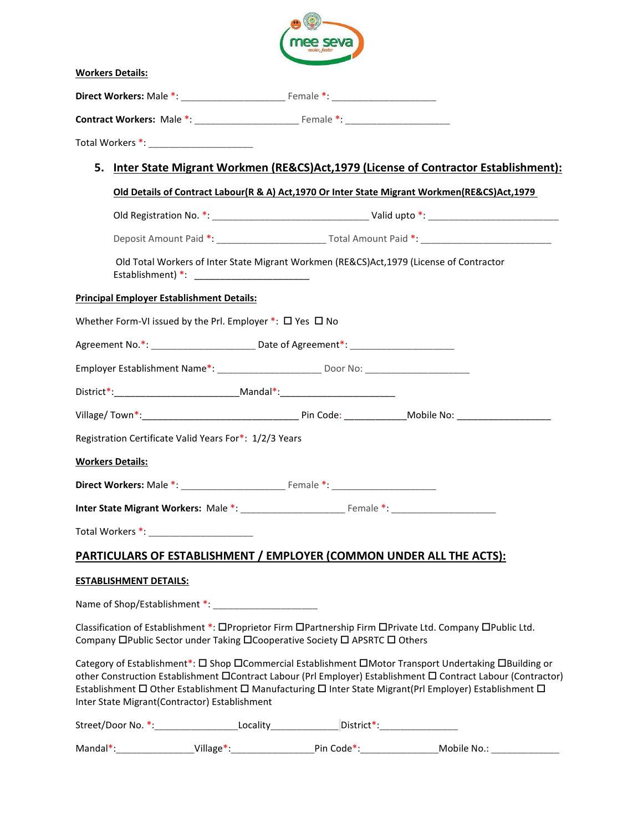|    |                                                  |                                                           | e sev                                                                                                |                                                                                                                                                                                                                                                                                                                                       |
|----|--------------------------------------------------|-----------------------------------------------------------|------------------------------------------------------------------------------------------------------|---------------------------------------------------------------------------------------------------------------------------------------------------------------------------------------------------------------------------------------------------------------------------------------------------------------------------------------|
|    | <b>Workers Details:</b>                          |                                                           |                                                                                                      |                                                                                                                                                                                                                                                                                                                                       |
|    |                                                  |                                                           |                                                                                                      |                                                                                                                                                                                                                                                                                                                                       |
|    |                                                  |                                                           |                                                                                                      |                                                                                                                                                                                                                                                                                                                                       |
|    |                                                  |                                                           |                                                                                                      |                                                                                                                                                                                                                                                                                                                                       |
| 5. |                                                  |                                                           |                                                                                                      | <u>Inter State Migrant Workmen (RE&amp;CS)Act,1979 (License of Contractor Establishment):</u>                                                                                                                                                                                                                                         |
|    |                                                  |                                                           |                                                                                                      | Old Details of Contract Labour(R & A) Act, 1970 Or Inter State Migrant Workmen(RE&CS)Act, 1979                                                                                                                                                                                                                                        |
|    |                                                  |                                                           |                                                                                                      |                                                                                                                                                                                                                                                                                                                                       |
|    |                                                  |                                                           |                                                                                                      |                                                                                                                                                                                                                                                                                                                                       |
|    |                                                  |                                                           | Old Total Workers of Inter State Migrant Workmen (RE&CS)Act, 1979 (License of Contractor             |                                                                                                                                                                                                                                                                                                                                       |
|    | <b>Principal Employer Establishment Details:</b> |                                                           |                                                                                                      |                                                                                                                                                                                                                                                                                                                                       |
|    |                                                  | Whether Form-VI issued by the Prl. Employer *: □ Yes □ No |                                                                                                      |                                                                                                                                                                                                                                                                                                                                       |
|    |                                                  |                                                           |                                                                                                      |                                                                                                                                                                                                                                                                                                                                       |
|    |                                                  |                                                           | Employer Establishment Name*: _________________________________Door No: ____________________________ |                                                                                                                                                                                                                                                                                                                                       |
|    |                                                  |                                                           | District*:___________________________________Mandal*:___________________________                     |                                                                                                                                                                                                                                                                                                                                       |
|    |                                                  |                                                           |                                                                                                      | Village/Town*: Mobile No: Mobile No: Mobile No: Mobile No:                                                                                                                                                                                                                                                                            |
|    |                                                  | Registration Certificate Valid Years For*: 1/2/3 Years    |                                                                                                      |                                                                                                                                                                                                                                                                                                                                       |
|    | <b>Workers Details:</b>                          |                                                           |                                                                                                      |                                                                                                                                                                                                                                                                                                                                       |
|    |                                                  |                                                           |                                                                                                      |                                                                                                                                                                                                                                                                                                                                       |
|    |                                                  |                                                           |                                                                                                      |                                                                                                                                                                                                                                                                                                                                       |
|    |                                                  |                                                           |                                                                                                      |                                                                                                                                                                                                                                                                                                                                       |
|    |                                                  |                                                           | PARTICULARS OF ESTABLISHMENT / EMPLOYER (COMMON UNDER ALL THE ACTS):                                 |                                                                                                                                                                                                                                                                                                                                       |
|    | <b>ESTABLISHMENT DETAILS:</b>                    |                                                           |                                                                                                      |                                                                                                                                                                                                                                                                                                                                       |
|    |                                                  |                                                           |                                                                                                      |                                                                                                                                                                                                                                                                                                                                       |
|    |                                                  |                                                           | Company □Public Sector under Taking □Cooperative Society □ APSRTC □ Others                           | Classification of Establishment *: OProprietor Firm OPartnership Firm OPrivate Ltd. Company OPublic Ltd.                                                                                                                                                                                                                              |
|    |                                                  | Inter State Migrant(Contractor) Establishment             |                                                                                                      | Category of Establishment*: □ Shop □ Commercial Establishment □ Motor Transport Undertaking □ Building or<br>other Construction Establishment CContract Labour (Prl Employer) Establishment C Contract Labour (Contractor)<br>Establishment □ Other Establishment □ Manufacturing □ Inter State Migrant(Prl Employer) Establishment □ |
|    |                                                  |                                                           | Street/Door No. *:______________________Locality________________District*:_________________________  |                                                                                                                                                                                                                                                                                                                                       |
|    |                                                  |                                                           |                                                                                                      | Mandal*:___________________Village*:_______________________Pin Code*:_______________________Mobile No.: ____________                                                                                                                                                                                                                  |